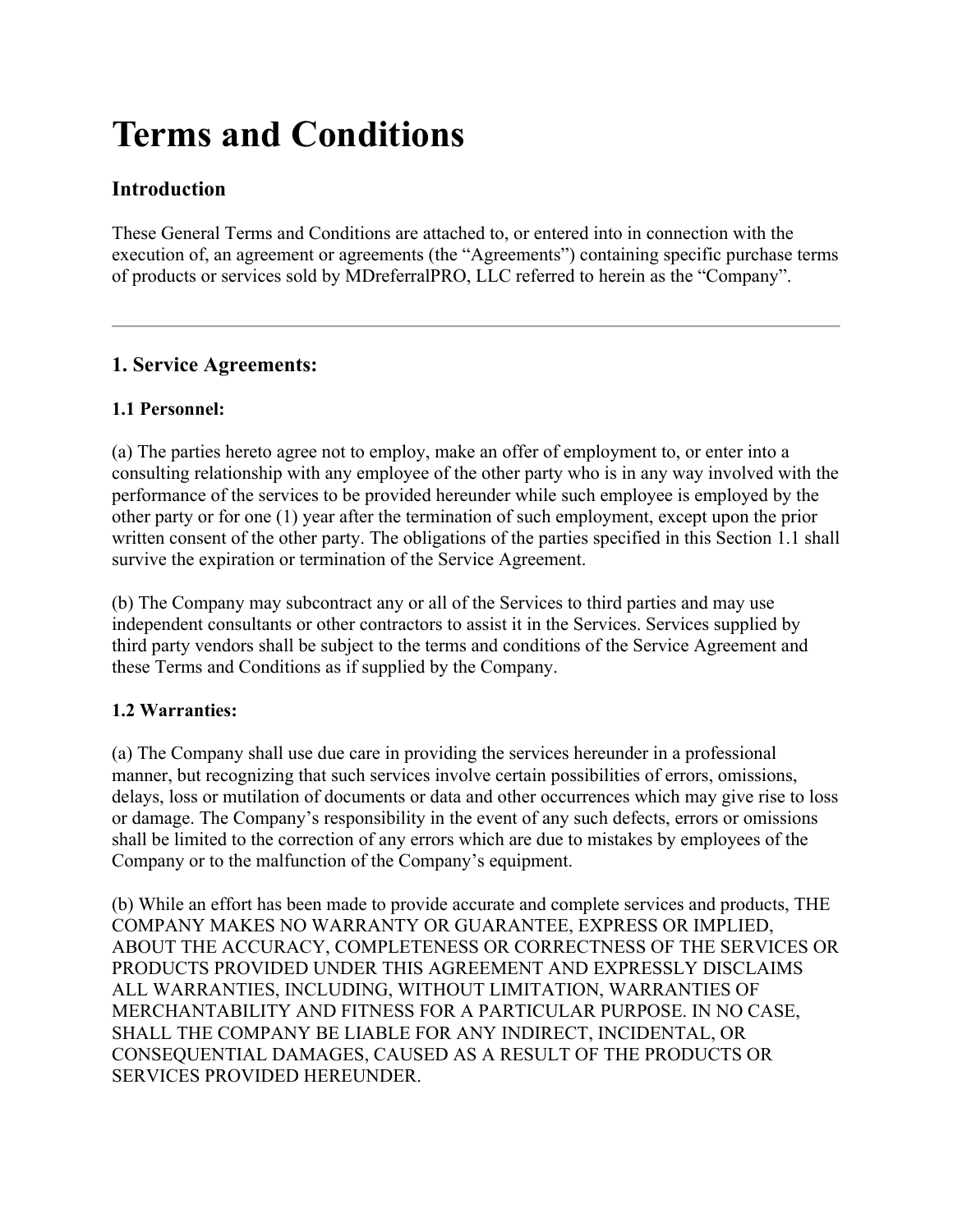# **Terms and Conditions**

# **Introduction**

These General Terms and Conditions are attached to, or entered into in connection with the execution of, an agreement or agreements (the "Agreements") containing specific purchase terms of products or services sold by MDreferralPRO, LLC referred to herein as the "Company".

# **1. Service Agreements:**

# **1.1 Personnel:**

(a) The parties hereto agree not to employ, make an offer of employment to, or enter into a consulting relationship with any employee of the other party who is in any way involved with the performance of the services to be provided hereunder while such employee is employed by the other party or for one (1) year after the termination of such employment, except upon the prior written consent of the other party. The obligations of the parties specified in this Section 1.1 shall survive the expiration or termination of the Service Agreement.

(b) The Company may subcontract any or all of the Services to third parties and may use independent consultants or other contractors to assist it in the Services. Services supplied by third party vendors shall be subject to the terms and conditions of the Service Agreement and these Terms and Conditions as if supplied by the Company.

# **1.2 Warranties:**

(a) The Company shall use due care in providing the services hereunder in a professional manner, but recognizing that such services involve certain possibilities of errors, omissions, delays, loss or mutilation of documents or data and other occurrences which may give rise to loss or damage. The Company's responsibility in the event of any such defects, errors or omissions shall be limited to the correction of any errors which are due to mistakes by employees of the Company or to the malfunction of the Company's equipment.

(b) While an effort has been made to provide accurate and complete services and products, THE COMPANY MAKES NO WARRANTY OR GUARANTEE, EXPRESS OR IMPLIED, ABOUT THE ACCURACY, COMPLETENESS OR CORRECTNESS OF THE SERVICES OR PRODUCTS PROVIDED UNDER THIS AGREEMENT AND EXPRESSLY DISCLAIMS ALL WARRANTIES, INCLUDING, WITHOUT LIMITATION, WARRANTIES OF MERCHANTABILITY AND FITNESS FOR A PARTICULAR PURPOSE. IN NO CASE, SHALL THE COMPANY BE LIABLE FOR ANY INDIRECT, INCIDENTAL, OR CONSEQUENTIAL DAMAGES, CAUSED AS A RESULT OF THE PRODUCTS OR SERVICES PROVIDED HEREUNDER.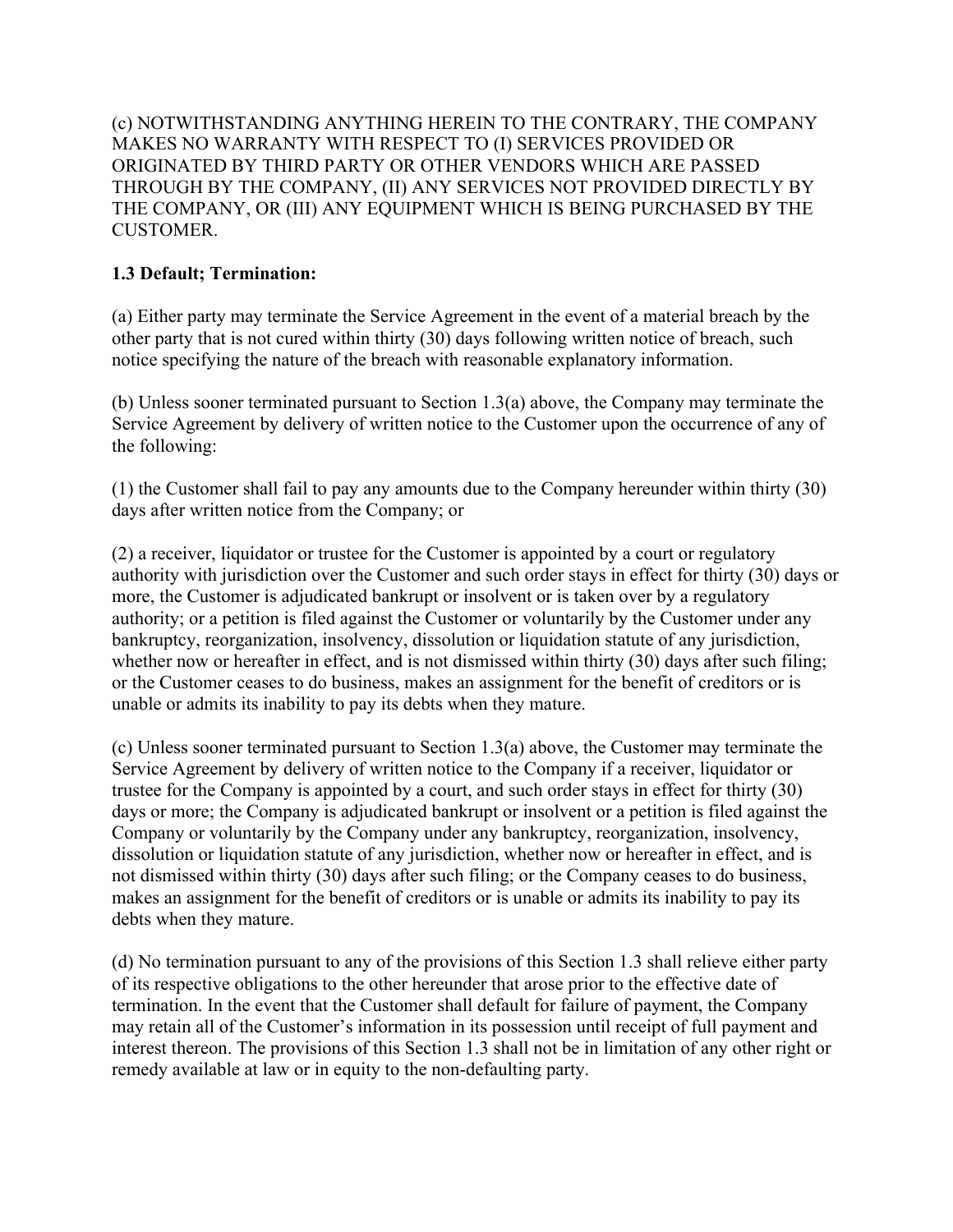(c) NOTWITHSTANDING ANYTHING HEREIN TO THE CONTRARY, THE COMPANY MAKES NO WARRANTY WITH RESPECT TO (I) SERVICES PROVIDED OR ORIGINATED BY THIRD PARTY OR OTHER VENDORS WHICH ARE PASSED THROUGH BY THE COMPANY, (II) ANY SERVICES NOT PROVIDED DIRECTLY BY THE COMPANY, OR (III) ANY EQUIPMENT WHICH IS BEING PURCHASED BY THE CUSTOMER.

# **1.3 Default; Termination:**

(a) Either party may terminate the Service Agreement in the event of a material breach by the other party that is not cured within thirty (30) days following written notice of breach, such notice specifying the nature of the breach with reasonable explanatory information.

(b) Unless sooner terminated pursuant to Section 1.3(a) above, the Company may terminate the Service Agreement by delivery of written notice to the Customer upon the occurrence of any of the following:

(1) the Customer shall fail to pay any amounts due to the Company hereunder within thirty (30) days after written notice from the Company; or

(2) a receiver, liquidator or trustee for the Customer is appointed by a court or regulatory authority with jurisdiction over the Customer and such order stays in effect for thirty (30) days or more, the Customer is adjudicated bankrupt or insolvent or is taken over by a regulatory authority; or a petition is filed against the Customer or voluntarily by the Customer under any bankruptcy, reorganization, insolvency, dissolution or liquidation statute of any jurisdiction, whether now or hereafter in effect, and is not dismissed within thirty (30) days after such filing; or the Customer ceases to do business, makes an assignment for the benefit of creditors or is unable or admits its inability to pay its debts when they mature.

(c) Unless sooner terminated pursuant to Section 1.3(a) above, the Customer may terminate the Service Agreement by delivery of written notice to the Company if a receiver, liquidator or trustee for the Company is appointed by a court, and such order stays in effect for thirty (30) days or more; the Company is adjudicated bankrupt or insolvent or a petition is filed against the Company or voluntarily by the Company under any bankruptcy, reorganization, insolvency, dissolution or liquidation statute of any jurisdiction, whether now or hereafter in effect, and is not dismissed within thirty (30) days after such filing; or the Company ceases to do business, makes an assignment for the benefit of creditors or is unable or admits its inability to pay its debts when they mature.

(d) No termination pursuant to any of the provisions of this Section 1.3 shall relieve either party of its respective obligations to the other hereunder that arose prior to the effective date of termination. In the event that the Customer shall default for failure of payment, the Company may retain all of the Customer's information in its possession until receipt of full payment and interest thereon. The provisions of this Section 1.3 shall not be in limitation of any other right or remedy available at law or in equity to the non-defaulting party.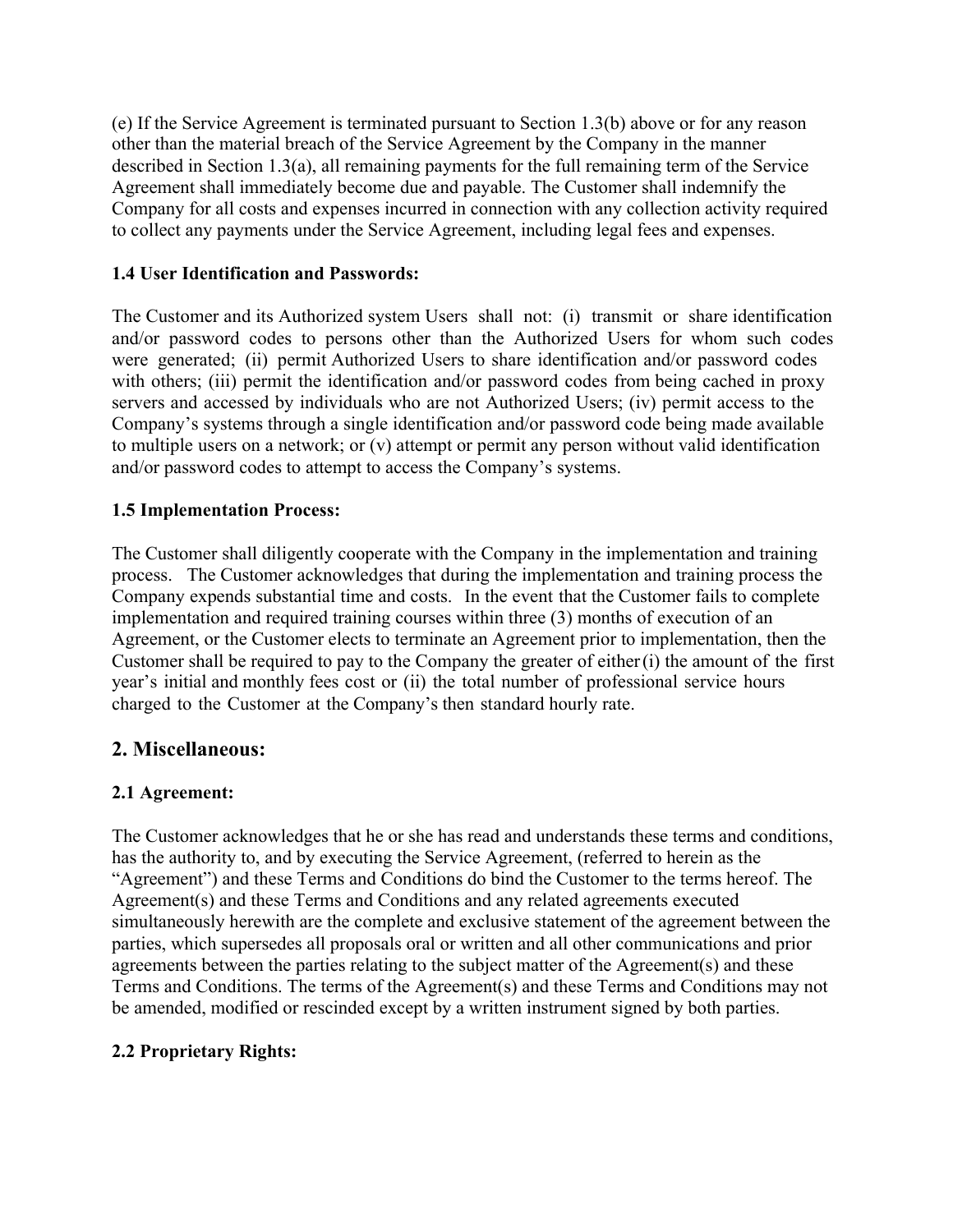(e) If the Service Agreement is terminated pursuant to Section 1.3(b) above or for any reason other than the material breach of the Service Agreement by the Company in the manner described in Section 1.3(a), all remaining payments for the full remaining term of the Service Agreement shall immediately become due and payable. The Customer shall indemnify the Company for all costs and expenses incurred in connection with any collection activity required to collect any payments under the Service Agreement, including legal fees and expenses.

#### **1.4 User Identification and Passwords:**

The Customer and its Authorized system Users shall not: (i) transmit or share identification and/or password codes to persons other than the Authorized Users for whom such codes were generated; (ii) permit Authorized Users to share identification and/or password codes with others; (iii) permit the identification and/or password codes from being cached in proxy servers and accessed by individuals who are not Authorized Users; (iv) permit access to the Company's systems through a single identification and/or password code being made available to multiple users on a network; or (v) attempt or permit any person without valid identification and/or password codes to attempt to access the Company's systems.

#### **1.5 Implementation Process:**

The Customer shall diligently cooperate with the Company in the implementation and training process. The Customer acknowledges that during the implementation and training process the Company expends substantial time and costs. In the event that the Customer fails to complete implementation and required training courses within three (3) months of execution of an Agreement, or the Customer elects to terminate an Agreement prior to implementation, then the Customer shall be required to pay to the Company the greater of either(i) the amount of the first year's initial and monthly fees cost or (ii) the total number of professional service hours charged to the Customer at the Company's then standard hourly rate.

# **2. Miscellaneous:**

#### **2.1 Agreement:**

The Customer acknowledges that he or she has read and understands these terms and conditions, has the authority to, and by executing the Service Agreement, (referred to herein as the "Agreement") and these Terms and Conditions do bind the Customer to the terms hereof. The Agreement(s) and these Terms and Conditions and any related agreements executed simultaneously herewith are the complete and exclusive statement of the agreement between the parties, which supersedes all proposals oral or written and all other communications and prior agreements between the parties relating to the subject matter of the Agreement(s) and these Terms and Conditions. The terms of the Agreement(s) and these Terms and Conditions may not be amended, modified or rescinded except by a written instrument signed by both parties.

#### **2.2 Proprietary Rights:**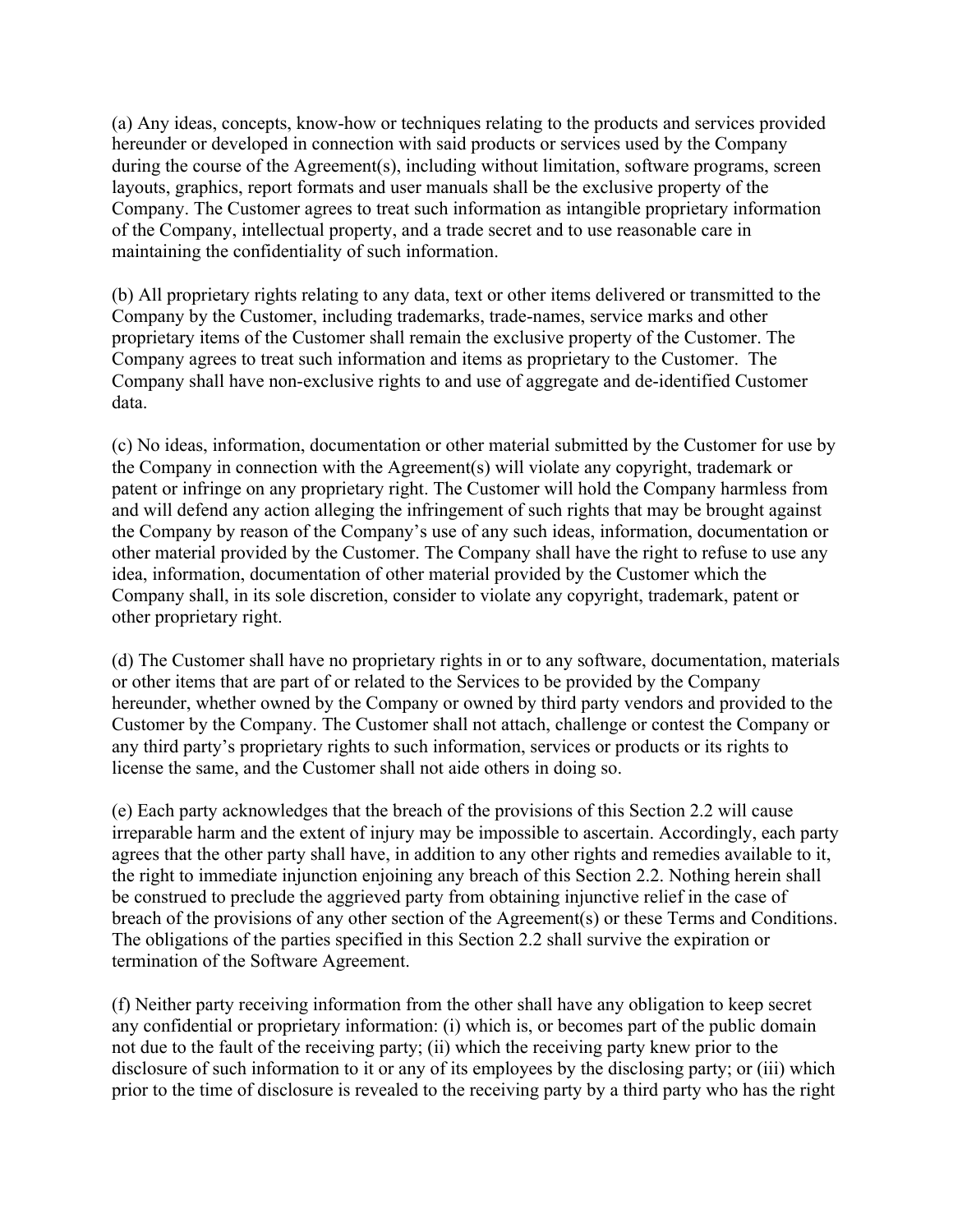(a) Any ideas, concepts, know-how or techniques relating to the products and services provided hereunder or developed in connection with said products or services used by the Company during the course of the Agreement(s), including without limitation, software programs, screen layouts, graphics, report formats and user manuals shall be the exclusive property of the Company. The Customer agrees to treat such information as intangible proprietary information of the Company, intellectual property, and a trade secret and to use reasonable care in maintaining the confidentiality of such information.

(b) All proprietary rights relating to any data, text or other items delivered or transmitted to the Company by the Customer, including trademarks, trade-names, service marks and other proprietary items of the Customer shall remain the exclusive property of the Customer. The Company agrees to treat such information and items as proprietary to the Customer. The Company shall have non-exclusive rights to and use of aggregate and de-identified Customer data.

(c) No ideas, information, documentation or other material submitted by the Customer for use by the Company in connection with the Agreement(s) will violate any copyright, trademark or patent or infringe on any proprietary right. The Customer will hold the Company harmless from and will defend any action alleging the infringement of such rights that may be brought against the Company by reason of the Company's use of any such ideas, information, documentation or other material provided by the Customer. The Company shall have the right to refuse to use any idea, information, documentation of other material provided by the Customer which the Company shall, in its sole discretion, consider to violate any copyright, trademark, patent or other proprietary right.

(d) The Customer shall have no proprietary rights in or to any software, documentation, materials or other items that are part of or related to the Services to be provided by the Company hereunder, whether owned by the Company or owned by third party vendors and provided to the Customer by the Company. The Customer shall not attach, challenge or contest the Company or any third party's proprietary rights to such information, services or products or its rights to license the same, and the Customer shall not aide others in doing so.

(e) Each party acknowledges that the breach of the provisions of this Section 2.2 will cause irreparable harm and the extent of injury may be impossible to ascertain. Accordingly, each party agrees that the other party shall have, in addition to any other rights and remedies available to it, the right to immediate injunction enjoining any breach of this Section 2.2. Nothing herein shall be construed to preclude the aggrieved party from obtaining injunctive relief in the case of breach of the provisions of any other section of the Agreement(s) or these Terms and Conditions. The obligations of the parties specified in this Section 2.2 shall survive the expiration or termination of the Software Agreement.

(f) Neither party receiving information from the other shall have any obligation to keep secret any confidential or proprietary information: (i) which is, or becomes part of the public domain not due to the fault of the receiving party; (ii) which the receiving party knew prior to the disclosure of such information to it or any of its employees by the disclosing party; or (iii) which prior to the time of disclosure is revealed to the receiving party by a third party who has the right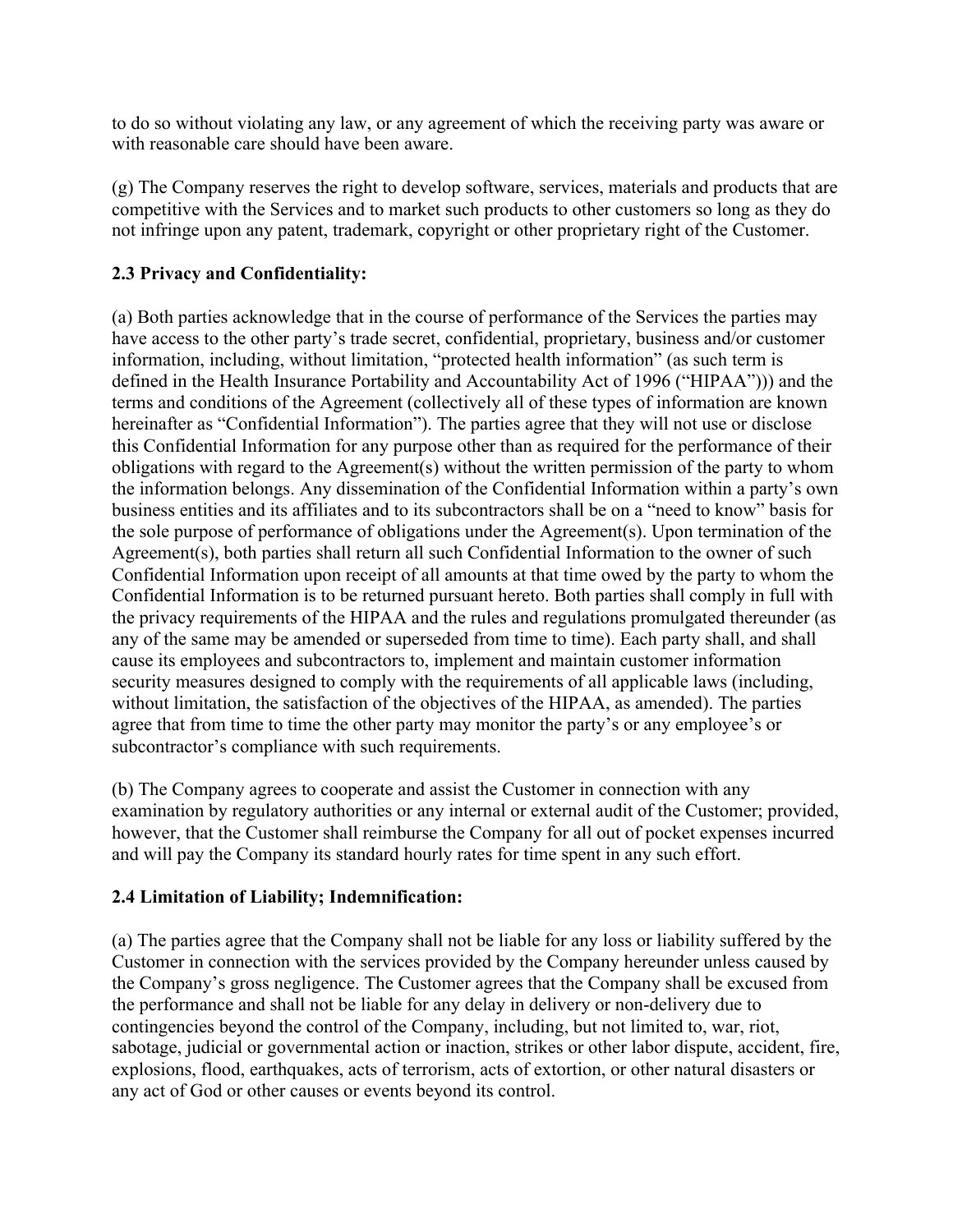to do so without violating any law, or any agreement of which the receiving party was aware or with reasonable care should have been aware.

(g) The Company reserves the right to develop software, services, materials and products that are competitive with the Services and to market such products to other customers so long as they do not infringe upon any patent, trademark, copyright or other proprietary right of the Customer.

# **2.3 Privacy and Confidentiality:**

(a) Both parties acknowledge that in the course of performance of the Services the parties may have access to the other party's trade secret, confidential, proprietary, business and/or customer information, including, without limitation, "protected health information" (as such term is defined in the Health Insurance Portability and Accountability Act of 1996 ("HIPAA"))) and the terms and conditions of the Agreement (collectively all of these types of information are known hereinafter as "Confidential Information"). The parties agree that they will not use or disclose this Confidential Information for any purpose other than as required for the performance of their obligations with regard to the Agreement(s) without the written permission of the party to whom the information belongs. Any dissemination of the Confidential Information within a party's own business entities and its affiliates and to its subcontractors shall be on a "need to know" basis for the sole purpose of performance of obligations under the Agreement(s). Upon termination of the Agreement(s), both parties shall return all such Confidential Information to the owner of such Confidential Information upon receipt of all amounts at that time owed by the party to whom the Confidential Information is to be returned pursuant hereto. Both parties shall comply in full with the privacy requirements of the HIPAA and the rules and regulations promulgated thereunder (as any of the same may be amended or superseded from time to time). Each party shall, and shall cause its employees and subcontractors to, implement and maintain customer information security measures designed to comply with the requirements of all applicable laws (including, without limitation, the satisfaction of the objectives of the HIPAA, as amended). The parties agree that from time to time the other party may monitor the party's or any employee's or subcontractor's compliance with such requirements.

(b) The Company agrees to cooperate and assist the Customer in connection with any examination by regulatory authorities or any internal or external audit of the Customer; provided, however, that the Customer shall reimburse the Company for all out of pocket expenses incurred and will pay the Company its standard hourly rates for time spent in any such effort.

#### **2.4 Limitation of Liability; Indemnification:**

(a) The parties agree that the Company shall not be liable for any loss or liability suffered by the Customer in connection with the services provided by the Company hereunder unless caused by the Company's gross negligence. The Customer agrees that the Company shall be excused from the performance and shall not be liable for any delay in delivery or non-delivery due to contingencies beyond the control of the Company, including, but not limited to, war, riot, sabotage, judicial or governmental action or inaction, strikes or other labor dispute, accident, fire, explosions, flood, earthquakes, acts of terrorism, acts of extortion, or other natural disasters or any act of God or other causes or events beyond its control.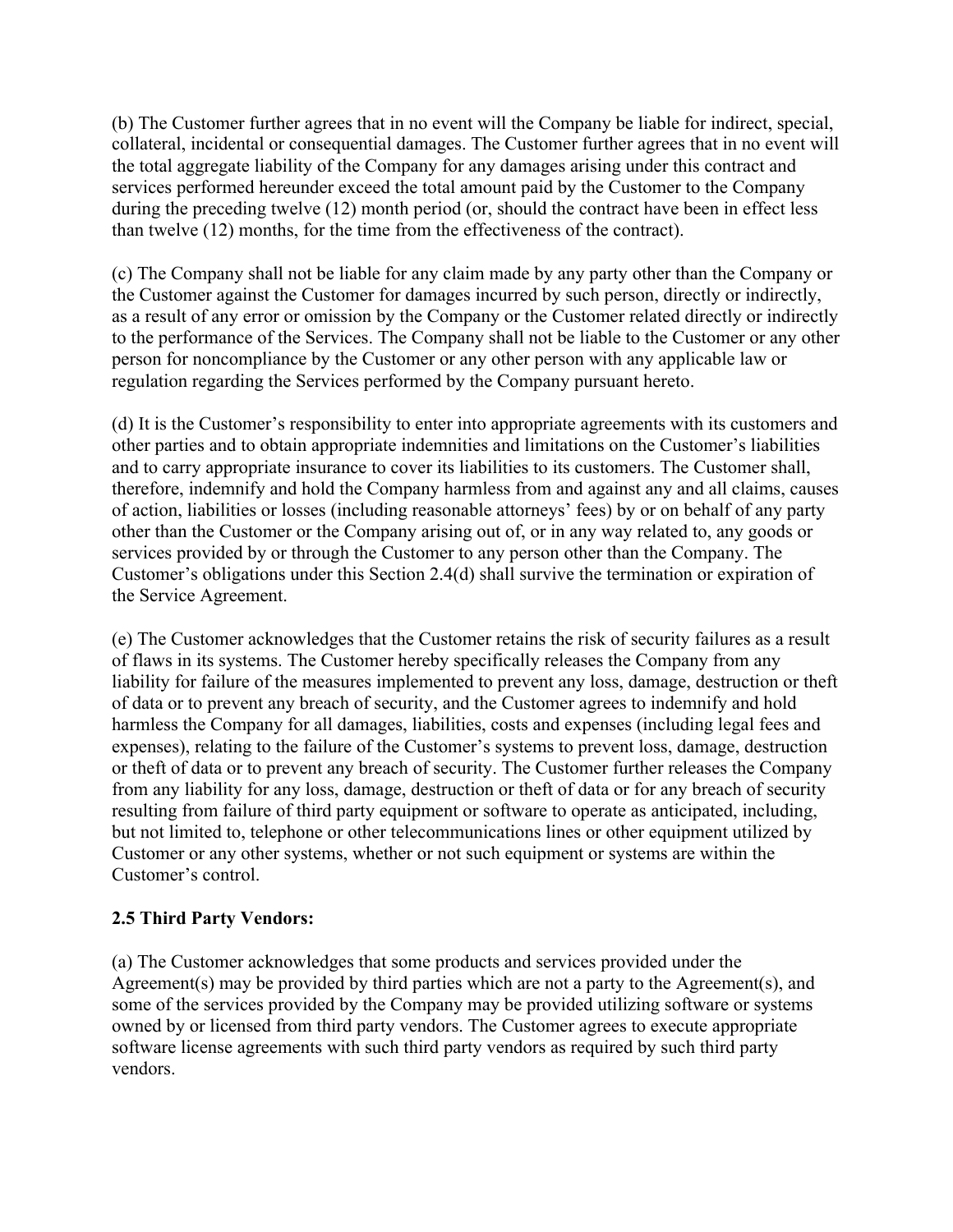(b) The Customer further agrees that in no event will the Company be liable for indirect, special, collateral, incidental or consequential damages. The Customer further agrees that in no event will the total aggregate liability of the Company for any damages arising under this contract and services performed hereunder exceed the total amount paid by the Customer to the Company during the preceding twelve (12) month period (or, should the contract have been in effect less than twelve (12) months, for the time from the effectiveness of the contract).

(c) The Company shall not be liable for any claim made by any party other than the Company or the Customer against the Customer for damages incurred by such person, directly or indirectly, as a result of any error or omission by the Company or the Customer related directly or indirectly to the performance of the Services. The Company shall not be liable to the Customer or any other person for noncompliance by the Customer or any other person with any applicable law or regulation regarding the Services performed by the Company pursuant hereto.

(d) It is the Customer's responsibility to enter into appropriate agreements with its customers and other parties and to obtain appropriate indemnities and limitations on the Customer's liabilities and to carry appropriate insurance to cover its liabilities to its customers. The Customer shall, therefore, indemnify and hold the Company harmless from and against any and all claims, causes of action, liabilities or losses (including reasonable attorneys' fees) by or on behalf of any party other than the Customer or the Company arising out of, or in any way related to, any goods or services provided by or through the Customer to any person other than the Company. The Customer's obligations under this Section 2.4(d) shall survive the termination or expiration of the Service Agreement.

(e) The Customer acknowledges that the Customer retains the risk of security failures as a result of flaws in its systems. The Customer hereby specifically releases the Company from any liability for failure of the measures implemented to prevent any loss, damage, destruction or theft of data or to prevent any breach of security, and the Customer agrees to indemnify and hold harmless the Company for all damages, liabilities, costs and expenses (including legal fees and expenses), relating to the failure of the Customer's systems to prevent loss, damage, destruction or theft of data or to prevent any breach of security. The Customer further releases the Company from any liability for any loss, damage, destruction or theft of data or for any breach of security resulting from failure of third party equipment or software to operate as anticipated, including, but not limited to, telephone or other telecommunications lines or other equipment utilized by Customer or any other systems, whether or not such equipment or systems are within the Customer's control.

#### **2.5 Third Party Vendors:**

(a) The Customer acknowledges that some products and services provided under the Agreement(s) may be provided by third parties which are not a party to the Agreement(s), and some of the services provided by the Company may be provided utilizing software or systems owned by or licensed from third party vendors. The Customer agrees to execute appropriate software license agreements with such third party vendors as required by such third party vendors.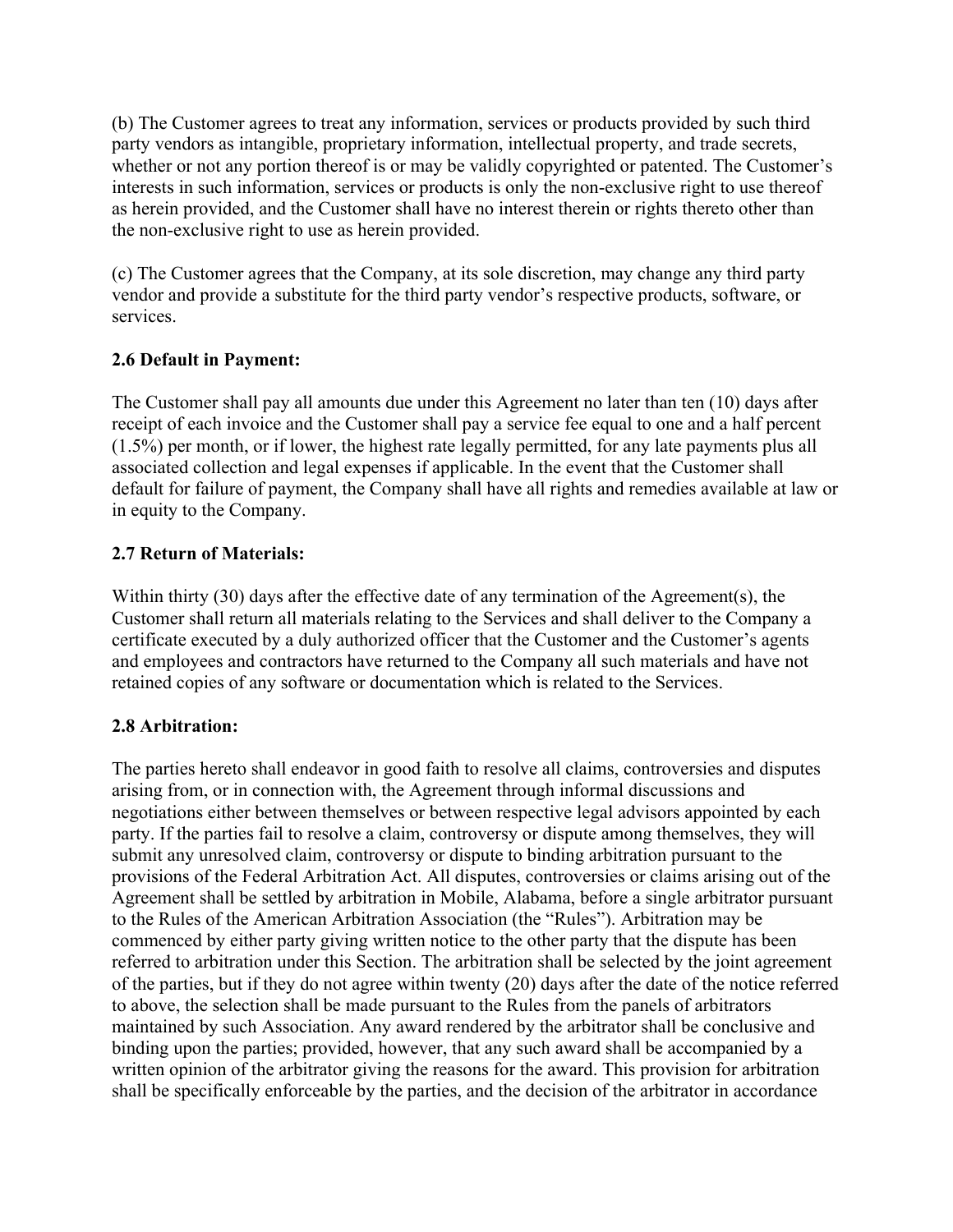(b) The Customer agrees to treat any information, services or products provided by such third party vendors as intangible, proprietary information, intellectual property, and trade secrets, whether or not any portion thereof is or may be validly copyrighted or patented. The Customer's interests in such information, services or products is only the non-exclusive right to use thereof as herein provided, and the Customer shall have no interest therein or rights thereto other than the non-exclusive right to use as herein provided.

(c) The Customer agrees that the Company, at its sole discretion, may change any third party vendor and provide a substitute for the third party vendor's respective products, software, or services.

#### **2.6 Default in Payment:**

The Customer shall pay all amounts due under this Agreement no later than ten (10) days after receipt of each invoice and the Customer shall pay a service fee equal to one and a half percent (1.5%) per month, or if lower, the highest rate legally permitted, for any late payments plus all associated collection and legal expenses if applicable. In the event that the Customer shall default for failure of payment, the Company shall have all rights and remedies available at law or in equity to the Company.

#### **2.7 Return of Materials:**

Within thirty (30) days after the effective date of any termination of the Agreement(s), the Customer shall return all materials relating to the Services and shall deliver to the Company a certificate executed by a duly authorized officer that the Customer and the Customer's agents and employees and contractors have returned to the Company all such materials and have not retained copies of any software or documentation which is related to the Services.

# **2.8 Arbitration:**

The parties hereto shall endeavor in good faith to resolve all claims, controversies and disputes arising from, or in connection with, the Agreement through informal discussions and negotiations either between themselves or between respective legal advisors appointed by each party. If the parties fail to resolve a claim, controversy or dispute among themselves, they will submit any unresolved claim, controversy or dispute to binding arbitration pursuant to the provisions of the Federal Arbitration Act. All disputes, controversies or claims arising out of the Agreement shall be settled by arbitration in Mobile, Alabama, before a single arbitrator pursuant to the Rules of the American Arbitration Association (the "Rules"). Arbitration may be commenced by either party giving written notice to the other party that the dispute has been referred to arbitration under this Section. The arbitration shall be selected by the joint agreement of the parties, but if they do not agree within twenty (20) days after the date of the notice referred to above, the selection shall be made pursuant to the Rules from the panels of arbitrators maintained by such Association. Any award rendered by the arbitrator shall be conclusive and binding upon the parties; provided, however, that any such award shall be accompanied by a written opinion of the arbitrator giving the reasons for the award. This provision for arbitration shall be specifically enforceable by the parties, and the decision of the arbitrator in accordance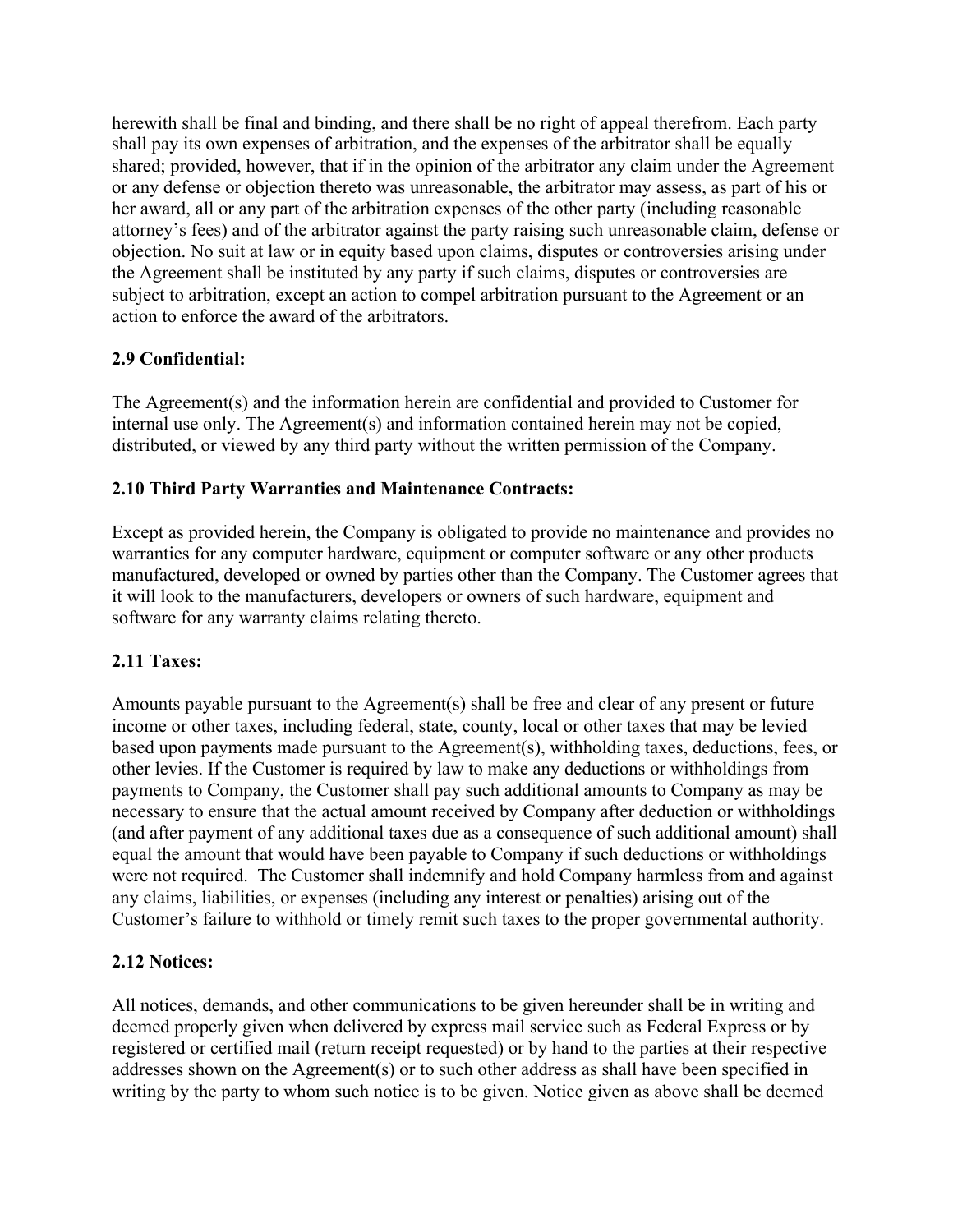herewith shall be final and binding, and there shall be no right of appeal therefrom. Each party shall pay its own expenses of arbitration, and the expenses of the arbitrator shall be equally shared; provided, however, that if in the opinion of the arbitrator any claim under the Agreement or any defense or objection thereto was unreasonable, the arbitrator may assess, as part of his or her award, all or any part of the arbitration expenses of the other party (including reasonable attorney's fees) and of the arbitrator against the party raising such unreasonable claim, defense or objection. No suit at law or in equity based upon claims, disputes or controversies arising under the Agreement shall be instituted by any party if such claims, disputes or controversies are subject to arbitration, except an action to compel arbitration pursuant to the Agreement or an action to enforce the award of the arbitrators.

# **2.9 Confidential:**

The Agreement(s) and the information herein are confidential and provided to Customer for internal use only. The Agreement(s) and information contained herein may not be copied, distributed, or viewed by any third party without the written permission of the Company.

# **2.10 Third Party Warranties and Maintenance Contracts:**

Except as provided herein, the Company is obligated to provide no maintenance and provides no warranties for any computer hardware, equipment or computer software or any other products manufactured, developed or owned by parties other than the Company. The Customer agrees that it will look to the manufacturers, developers or owners of such hardware, equipment and software for any warranty claims relating thereto.

# **2.11 Taxes:**

Amounts payable pursuant to the Agreement(s) shall be free and clear of any present or future income or other taxes, including federal, state, county, local or other taxes that may be levied based upon payments made pursuant to the Agreement(s), withholding taxes, deductions, fees, or other levies. If the Customer is required by law to make any deductions or withholdings from payments to Company, the Customer shall pay such additional amounts to Company as may be necessary to ensure that the actual amount received by Company after deduction or withholdings (and after payment of any additional taxes due as a consequence of such additional amount) shall equal the amount that would have been payable to Company if such deductions or withholdings were not required. The Customer shall indemnify and hold Company harmless from and against any claims, liabilities, or expenses (including any interest or penalties) arising out of the Customer's failure to withhold or timely remit such taxes to the proper governmental authority.

# **2.12 Notices:**

All notices, demands, and other communications to be given hereunder shall be in writing and deemed properly given when delivered by express mail service such as Federal Express or by registered or certified mail (return receipt requested) or by hand to the parties at their respective addresses shown on the Agreement(s) or to such other address as shall have been specified in writing by the party to whom such notice is to be given. Notice given as above shall be deemed